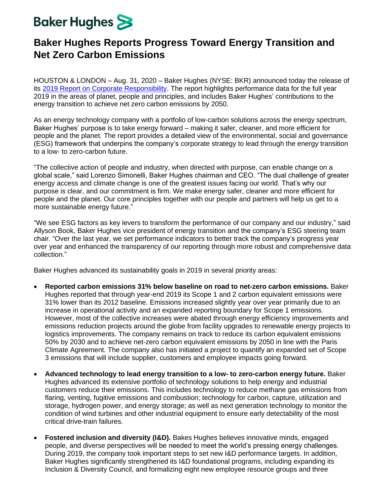## **Baker Hughes**

## **Baker Hughes Reports Progress Toward Energy Transition and Net Zero Carbon Emissions**

HOUSTON & LONDON – Aug. 31, 2020 – Baker Hughes (NYSE: BKR) announced today the release of its [2019 Report on Corporate Responsibility.](https://www.bakerhughes.com/corporate-responsibility) The report highlights performance data for the full year 2019 in the areas of planet, people and principles, and includes Baker Hughes' contributions to the energy transition to achieve net zero carbon emissions by 2050.

As an energy technology company with a portfolio of low-carbon solutions across the energy spectrum, Baker Hughes' purpose is to take energy forward – making it safer, cleaner, and more efficient for people and the planet. The report provides a detailed view of the environmental, social and governance (ESG) framework that underpins the company's corporate strategy to lead through the energy transition to a low- to zero-carbon future.

"The collective action of people and industry, when directed with purpose, can enable change on a global scale," said Lorenzo Simonelli, Baker Hughes chairman and CEO. "The dual challenge of greater energy access and climate change is one of the greatest issues facing our world. That's why our purpose is clear, and our commitment is firm. We make energy safer, cleaner and more efficient for people and the planet. Our core principles together with our people and partners will help us get to a more sustainable energy future."

"We see ESG factors as key levers to transform the performance of our company and our industry," said Allyson Book, Baker Hughes vice president of energy transition and the company's ESG steering team chair. "Over the last year, we set performance indicators to better track the company's progress year over year and enhanced the transparency of our reporting through more robust and comprehensive data collection."

Baker Hughes advanced its sustainability goals in 2019 in several priority areas:

- **Reported carbon emissions 31% below baseline on road to net-zero carbon emissions.** Baker Hughes reported that through year-end 2019 its Scope 1 and 2 carbon equivalent emissions were 31% lower than its 2012 baseline. Emissions increased slightly year over year primarily due to an increase in operational activity and an expanded reporting boundary for Scope 1 emissions. However, most of the collective increases were abated through energy efficiency improvements and emissions reduction projects around the globe from facility upgrades to renewable energy projects to logistics improvements. The company remains on track to reduce its carbon equivalent emissions 50% by 2030 and to achieve net-zero carbon equivalent emissions by 2050 in line with the Paris Climate Agreement. The company also has initiated a project to quantify an expanded set of Scope 3 emissions that will include supplier, customers and employee impacts going forward.
- **Advanced technology to lead energy transition to a low- to zero-carbon energy future.** Baker Hughes advanced its extensive portfolio of technology solutions to help energy and industrial customers reduce their emissions. This includes technology to reduce methane gas emissions from flaring, venting, fugitive emissions and combustion; technology for carbon, capture, utilization and storage, hydrogen power, and energy storage; as well as next generation technology to monitor the condition of wind turbines and other industrial equipment to ensure early detectability of the most critical drive-train failures.
- **Fostered inclusion and diversity (I&D).** Bakes Hughes believes innovative minds, engaged people, and diverse perspectives will be needed to meet the world's pressing energy challenges. During 2019, the company took important steps to set new I&D performance targets. In addition, Baker Hughes significantly strengthened its I&D foundational programs, including expanding its Inclusion & Diversity Council, and formalizing eight new employee resource groups and three